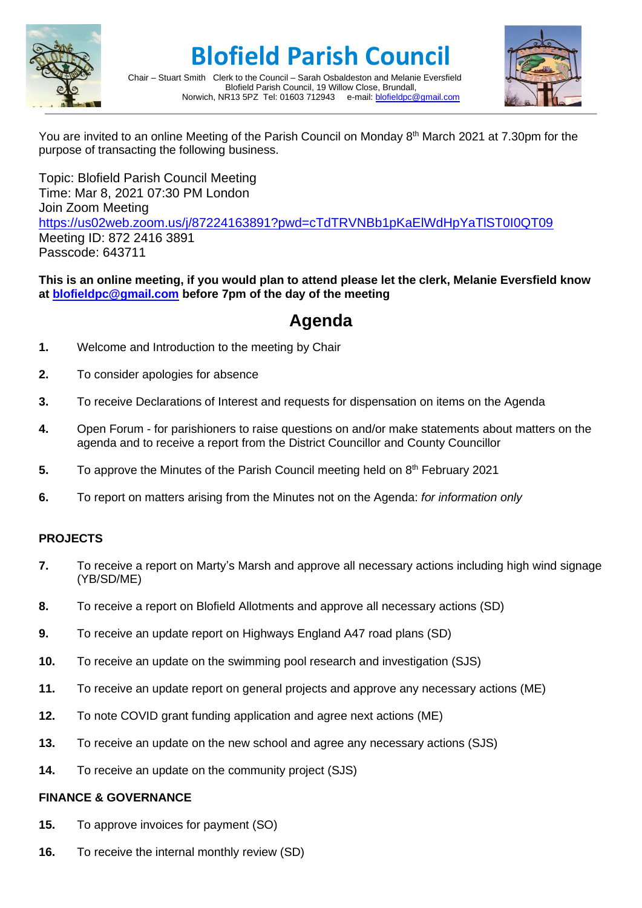

# **Blofield Parish Council**



Chair – Stuart Smith Clerk to the Council – Sarah Osbaldeston and Melanie Eversfield Blofield Parish Council, 19 Willow Close, Brundall,<br>R13 5PZ Tel: 01603 712943 e-mail: blofieldoc@gmail.com Norwich, NR13 5PZ Tel: 01603 712943

You are invited to an online Meeting of the Parish Council on Monday 8<sup>th</sup> March 2021 at 7.30pm for the purpose of transacting the following business.

Topic: Blofield Parish Council Meeting Time: Mar 8, 2021 07:30 PM London Join Zoom Meeting <https://us02web.zoom.us/j/87224163891?pwd=cTdTRVNBb1pKaElWdHpYaTlST0I0QT09> Meeting ID: 872 2416 3891 Passcode: 643711

## **This is an online meeting, if you would plan to attend please let the clerk, Melanie Eversfield know at [blofieldpc@gmail.com](mailto:blofieldpc@gmail.com) before 7pm of the day of the meeting**

# **Agenda**

- **1.** Welcome and Introduction to the meeting by Chair
- **2.** To consider apologies for absence
- **3.** To receive Declarations of Interest and requests for dispensation on items on the Agenda
- **4.** Open Forum for parishioners to raise questions on and/or make statements about matters on the agenda and to receive a report from the District Councillor and County Councillor
- **5.** To approve the Minutes of the Parish Council meeting held on 8<sup>th</sup> February 2021
- **6.** To report on matters arising from the Minutes not on the Agenda: *for information only*

# **PROJECTS**

- **7.** To receive a report on Marty's Marsh and approve all necessary actions including high wind signage (YB/SD/ME)
- **8.** To receive a report on Blofield Allotments and approve all necessary actions (SD)
- **9.** To receive an update report on Highways England A47 road plans (SD)
- **10.** To receive an update on the swimming pool research and investigation (SJS)
- **11.** To receive an update report on general projects and approve any necessary actions (ME)
- **12.** To note COVID grant funding application and agree next actions (ME)
- **13.** To receive an update on the new school and agree any necessary actions (SJS)
- **14.** To receive an update on the community project (SJS)

### **FINANCE & GOVERNANCE**

- **15.** To approve invoices for payment (SO)
- **16.** To receive the internal monthly review (SD)